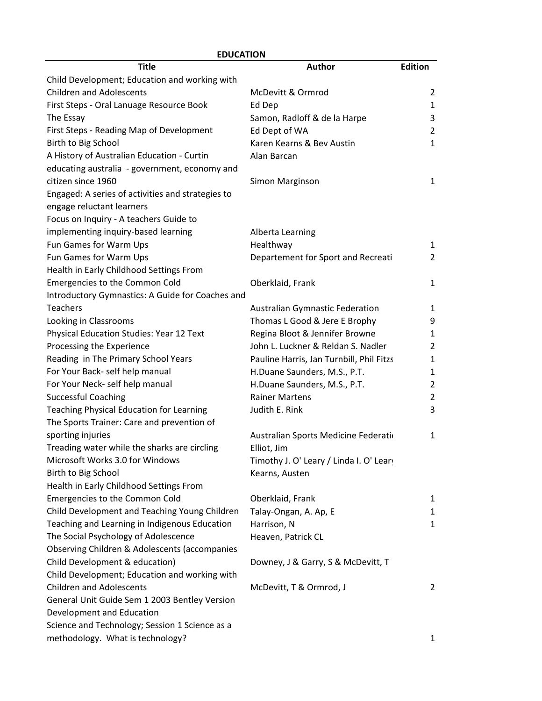| <b>EDUCATION</b>                                  |                                          |                |
|---------------------------------------------------|------------------------------------------|----------------|
| <b>Title</b>                                      | <b>Author</b>                            | <b>Edition</b> |
| Child Development; Education and working with     |                                          |                |
| <b>Children and Adolescents</b>                   | McDevitt & Ormrod                        | $\overline{2}$ |
| First Steps - Oral Lanuage Resource Book          | Ed Dep                                   | $\mathbf{1}$   |
| The Essay                                         | Samon, Radloff & de la Harpe             | 3              |
| First Steps - Reading Map of Development          | Ed Dept of WA                            | $\overline{2}$ |
| Birth to Big School                               | Karen Kearns & Bev Austin                | $\mathbf{1}$   |
| A History of Australian Education - Curtin        | Alan Barcan                              |                |
| educating australia - government, economy and     |                                          |                |
| citizen since 1960                                | Simon Marginson                          | $\mathbf{1}$   |
| Engaged: A series of activities and strategies to |                                          |                |
| engage reluctant learners                         |                                          |                |
| Focus on Inquiry - A teachers Guide to            |                                          |                |
| implementing inquiry-based learning               | Alberta Learning                         |                |
| Fun Games for Warm Ups                            | Healthway                                | $\mathbf{1}$   |
| Fun Games for Warm Ups                            | Departement for Sport and Recreati       | $\overline{2}$ |
| Health in Early Childhood Settings From           |                                          |                |
| Emergencies to the Common Cold                    | Oberklaid, Frank                         | $\mathbf{1}$   |
| Introductory Gymnastics: A Guide for Coaches and  |                                          |                |
| <b>Teachers</b>                                   | <b>Australian Gymnastic Federation</b>   | 1              |
| Looking in Classrooms                             | Thomas L Good & Jere E Brophy            | 9              |
| Physical Education Studies: Year 12 Text          | Regina Bloot & Jennifer Browne           | 1              |
| Processing the Experience                         | John L. Luckner & Reldan S. Nadler       | $\overline{2}$ |
| Reading in The Primary School Years               | Pauline Harris, Jan Turnbill, Phil Fitzs | 1              |
| For Your Back- self help manual                   | H.Duane Saunders, M.S., P.T.             | $\mathbf{1}$   |
| For Your Neck- self help manual                   | H.Duane Saunders, M.S., P.T.             | $\overline{2}$ |
| <b>Successful Coaching</b>                        | <b>Rainer Martens</b>                    | 2              |
| Teaching Physical Education for Learning          | Judith E. Rink                           | 3              |
| The Sports Trainer: Care and prevention of        |                                          |                |
| sporting injuries                                 | Australian Sports Medicine Federati      | 1              |
| Treading water while the sharks are circling      | Elliot, Jim                              |                |
| Microsoft Works 3.0 for Windows                   | Timothy J. O' Leary / Linda I. O' Lear   |                |
| Birth to Big School                               | Kearns, Austen                           |                |
| Health in Early Childhood Settings From           |                                          |                |
| Emergencies to the Common Cold                    | Oberklaid, Frank                         | 1              |
| Child Development and Teaching Young Children     | Talay-Ongan, A. Ap, E                    | 1              |
| Teaching and Learning in Indigenous Education     | Harrison, N                              | $\mathbf{1}$   |
| The Social Psychology of Adolescence              | Heaven, Patrick CL                       |                |
| Observing Children & Adolescents (accompanies     |                                          |                |
| Child Development & education)                    | Downey, J & Garry, S & McDevitt, T       |                |
| Child Development; Education and working with     |                                          |                |
| <b>Children and Adolescents</b>                   | McDevitt, T & Ormrod, J                  | $\overline{2}$ |
| General Unit Guide Sem 1 2003 Bentley Version     |                                          |                |
| Development and Education                         |                                          |                |
| Science and Technology; Session 1 Science as a    |                                          |                |
| methodology. What is technology?                  |                                          | 1              |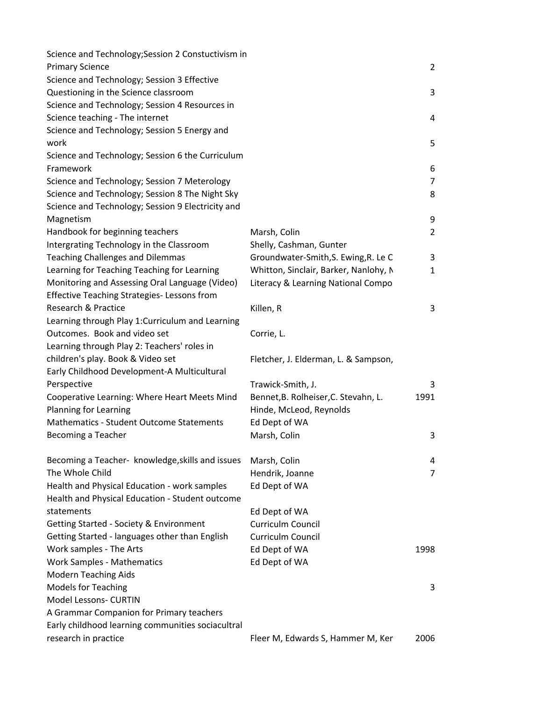| Science and Technology; Session 2 Constuctivism in |                                       |                |
|----------------------------------------------------|---------------------------------------|----------------|
| <b>Primary Science</b>                             |                                       | 2              |
| Science and Technology; Session 3 Effective        |                                       |                |
| Questioning in the Science classroom               |                                       | 3              |
| Science and Technology; Session 4 Resources in     |                                       |                |
| Science teaching - The internet                    |                                       | 4              |
| Science and Technology; Session 5 Energy and       |                                       |                |
| work                                               |                                       | 5              |
| Science and Technology; Session 6 the Curriculum   |                                       |                |
| Framework                                          |                                       | 6              |
| Science and Technology; Session 7 Meterology       |                                       | $\overline{7}$ |
| Science and Technology; Session 8 The Night Sky    |                                       | 8              |
| Science and Technology; Session 9 Electricity and  |                                       |                |
| Magnetism                                          |                                       | 9              |
| Handbook for beginning teachers                    | Marsh, Colin                          | 2              |
| Intergrating Technology in the Classroom           | Shelly, Cashman, Gunter               |                |
| <b>Teaching Challenges and Dilemmas</b>            | Groundwater-Smith, S. Ewing, R. Le C  | 3              |
| Learning for Teaching Teaching for Learning        | Whitton, Sinclair, Barker, Nanlohy, N | 1              |
| Monitoring and Assessing Oral Language (Video)     | Literacy & Learning National Compo    |                |
| <b>Effective Teaching Strategies-Lessons from</b>  |                                       |                |
| Research & Practice                                | Killen, R                             | 3              |
| Learning through Play 1: Curriculum and Learning   |                                       |                |
| Outcomes. Book and video set                       | Corrie, L.                            |                |
| Learning through Play 2: Teachers' roles in        |                                       |                |
| children's play. Book & Video set                  | Fletcher, J. Elderman, L. & Sampson,  |                |
| Early Childhood Development-A Multicultural        |                                       |                |
| Perspective                                        | Trawick-Smith, J.                     | 3              |
| Cooperative Learning: Where Heart Meets Mind       | Bennet, B. Rolheiser, C. Stevahn, L.  | 1991           |
| Planning for Learning                              | Hinde, McLeod, Reynolds               |                |
| <b>Mathematics - Student Outcome Statements</b>    | Ed Dept of WA                         |                |
| Becoming a Teacher                                 | Marsh, Colin                          | 3              |
|                                                    |                                       |                |
| Becoming a Teacher- knowledge, skills and issues   | Marsh, Colin                          | 4              |
| The Whole Child                                    | Hendrik, Joanne                       | $\overline{7}$ |
| Health and Physical Education - work samples       | Ed Dept of WA                         |                |
| Health and Physical Education - Student outcome    |                                       |                |
| statements                                         | Ed Dept of WA                         |                |
| Getting Started - Society & Environment            | Curriculm Council                     |                |
| Getting Started - languages other than English     | Curriculm Council                     |                |
| Work samples - The Arts                            | Ed Dept of WA                         | 1998           |
| <b>Work Samples - Mathematics</b>                  | Ed Dept of WA                         |                |
| <b>Modern Teaching Aids</b>                        |                                       |                |
| <b>Models for Teaching</b>                         |                                       | 3              |
| <b>Model Lessons- CURTIN</b>                       |                                       |                |
| A Grammar Companion for Primary teachers           |                                       |                |
| Early childhood learning communities sociacultral  |                                       |                |
| research in practice                               | Fleer M, Edwards S, Hammer M, Ker     | 2006           |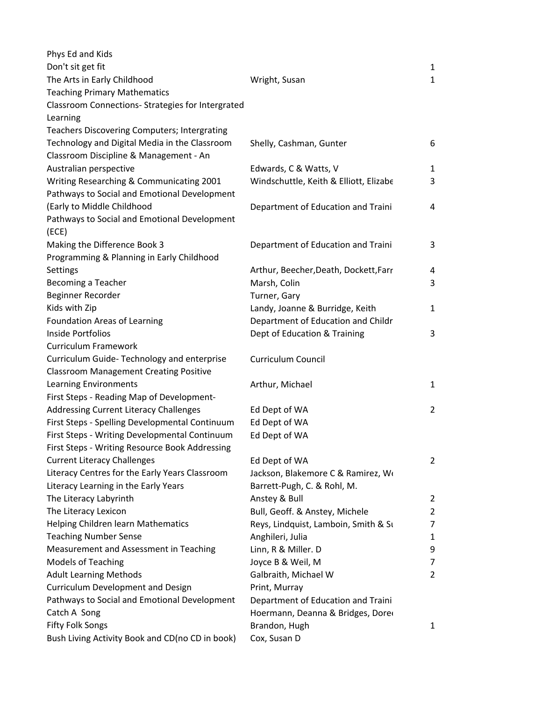| Phys Ed and Kids                                 |                                        |                |
|--------------------------------------------------|----------------------------------------|----------------|
| Don't sit get fit                                |                                        | 1              |
| The Arts in Early Childhood                      | Wright, Susan                          | $\mathbf{1}$   |
| <b>Teaching Primary Mathematics</b>              |                                        |                |
| Classroom Connections-Strategies for Intergrated |                                        |                |
| Learning                                         |                                        |                |
| Teachers Discovering Computers; Intergrating     |                                        |                |
| Technology and Digital Media in the Classroom    | Shelly, Cashman, Gunter                | 6              |
| Classroom Discipline & Management - An           |                                        |                |
| Australian perspective                           | Edwards, C & Watts, V                  | 1              |
| Writing Researching & Communicating 2001         | Windschuttle, Keith & Elliott, Elizabe | 3              |
| Pathways to Social and Emotional Development     |                                        |                |
| (Early to Middle Childhood                       | Department of Education and Traini     | 4              |
| Pathways to Social and Emotional Development     |                                        |                |
| (ECE)                                            |                                        |                |
| Making the Difference Book 3                     | Department of Education and Traini     | 3              |
| Programming & Planning in Early Childhood        |                                        |                |
| Settings                                         | Arthur, Beecher, Death, Dockett, Farr  | 4              |
| Becoming a Teacher                               | Marsh, Colin                           | 3              |
| Beginner Recorder                                | Turner, Gary                           |                |
| Kids with Zip                                    | Landy, Joanne & Burridge, Keith        | $\mathbf{1}$   |
| <b>Foundation Areas of Learning</b>              | Department of Education and Childr     |                |
| <b>Inside Portfolios</b>                         | Dept of Education & Training           | 3              |
| <b>Curriculum Framework</b>                      |                                        |                |
| Curriculum Guide-Technology and enterprise       | Curriculum Council                     |                |
| <b>Classroom Management Creating Positive</b>    |                                        |                |
| <b>Learning Environments</b>                     | Arthur, Michael                        | $\mathbf{1}$   |
| First Steps - Reading Map of Development-        |                                        |                |
| Addressing Current Literacy Challenges           | Ed Dept of WA                          | $\overline{2}$ |
| First Steps - Spelling Developmental Continuum   | Ed Dept of WA                          |                |
| First Steps - Writing Developmental Continuum    | Ed Dept of WA                          |                |
| First Steps - Writing Resource Book Addressing   |                                        |                |
| <b>Current Literacy Challenges</b>               | Ed Dept of WA                          | $\overline{2}$ |
| Literacy Centres for the Early Years Classroom   | Jackson, Blakemore C & Ramirez, Wo     |                |
| Literacy Learning in the Early Years             | Barrett-Pugh, C. & Rohl, M.            |                |
| The Literacy Labyrinth                           | Anstey & Bull                          | $\overline{2}$ |
| The Literacy Lexicon                             | Bull, Geoff. & Anstey, Michele         | 2              |
| Helping Children learn Mathematics               | Reys, Lindquist, Lamboin, Smith & Su   | 7              |
| <b>Teaching Number Sense</b>                     | Anghileri, Julia                       | 1              |
| Measurement and Assessment in Teaching           | Linn, R & Miller. D                    | 9              |
| <b>Models of Teaching</b>                        | Joyce B & Weil, M                      | 7              |
| <b>Adult Learning Methods</b>                    | Galbraith, Michael W                   | $\overline{2}$ |
| Curriculum Development and Design                | Print, Murray                          |                |
| Pathways to Social and Emotional Development     | Department of Education and Traini     |                |
| Catch A Song                                     | Hoermann, Deanna & Bridges, Dore       |                |
| <b>Fifty Folk Songs</b>                          | Brandon, Hugh                          | 1              |
| Bush Living Activity Book and CD(no CD in book)  | Cox, Susan D                           |                |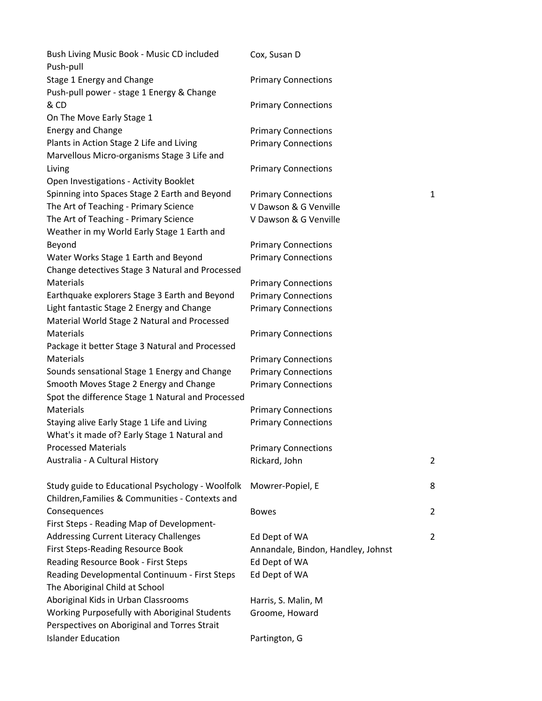| Bush Living Music Book - Music CD included<br>Push-pull                                             | Cox, Susan D                       |              |
|-----------------------------------------------------------------------------------------------------|------------------------------------|--------------|
| Stage 1 Energy and Change                                                                           | <b>Primary Connections</b>         |              |
| Push-pull power - stage 1 Energy & Change                                                           |                                    |              |
| & CD                                                                                                | <b>Primary Connections</b>         |              |
| On The Move Early Stage 1                                                                           |                                    |              |
| <b>Energy and Change</b>                                                                            | <b>Primary Connections</b>         |              |
| Plants in Action Stage 2 Life and Living                                                            | <b>Primary Connections</b>         |              |
| Marvellous Micro-organisms Stage 3 Life and                                                         |                                    |              |
| Living                                                                                              | <b>Primary Connections</b>         |              |
| Open Investigations - Activity Booklet                                                              |                                    |              |
| Spinning into Spaces Stage 2 Earth and Beyond                                                       | <b>Primary Connections</b>         | $\mathbf{1}$ |
| The Art of Teaching - Primary Science                                                               | V Dawson & G Venville              |              |
| The Art of Teaching - Primary Science                                                               | V Dawson & G Venville              |              |
| Weather in my World Early Stage 1 Earth and                                                         |                                    |              |
| Beyond                                                                                              | <b>Primary Connections</b>         |              |
| Water Works Stage 1 Earth and Beyond                                                                | <b>Primary Connections</b>         |              |
| Change detectives Stage 3 Natural and Processed                                                     |                                    |              |
| Materials                                                                                           | <b>Primary Connections</b>         |              |
| Earthquake explorers Stage 3 Earth and Beyond                                                       | <b>Primary Connections</b>         |              |
| Light fantastic Stage 2 Energy and Change                                                           | <b>Primary Connections</b>         |              |
| Material World Stage 2 Natural and Processed                                                        |                                    |              |
| Materials                                                                                           | <b>Primary Connections</b>         |              |
| Package it better Stage 3 Natural and Processed                                                     |                                    |              |
| Materials                                                                                           | <b>Primary Connections</b>         |              |
| Sounds sensational Stage 1 Energy and Change                                                        | <b>Primary Connections</b>         |              |
| Smooth Moves Stage 2 Energy and Change<br>Spot the difference Stage 1 Natural and Processed         | <b>Primary Connections</b>         |              |
| <b>Materials</b>                                                                                    | <b>Primary Connections</b>         |              |
| Staying alive Early Stage 1 Life and Living<br>What's it made of? Early Stage 1 Natural and         | <b>Primary Connections</b>         |              |
| <b>Processed Materials</b>                                                                          | <b>Primary Connections</b>         |              |
| Australia - A Cultural History                                                                      | Rickard, John                      | 2            |
| Study guide to Educational Psychology - Woolfolk<br>Children, Families & Communities - Contexts and | Mowrer-Popiel, E                   | 8            |
| Consequences                                                                                        | <b>Bowes</b>                       | 2            |
| First Steps - Reading Map of Development-                                                           |                                    |              |
| <b>Addressing Current Literacy Challenges</b>                                                       | Ed Dept of WA                      | 2            |
| <b>First Steps-Reading Resource Book</b>                                                            | Annandale, Bindon, Handley, Johnst |              |
| Reading Resource Book - First Steps                                                                 | Ed Dept of WA                      |              |
| Reading Developmental Continuum - First Steps<br>The Aboriginal Child at School                     | Ed Dept of WA                      |              |
| Aboriginal Kids in Urban Classrooms                                                                 | Harris, S. Malin, M                |              |
| Working Purposefully with Aboriginal Students<br>Perspectives on Aboriginal and Torres Strait       | Groome, Howard                     |              |
| <b>Islander Education</b>                                                                           | Partington, G                      |              |
|                                                                                                     |                                    |              |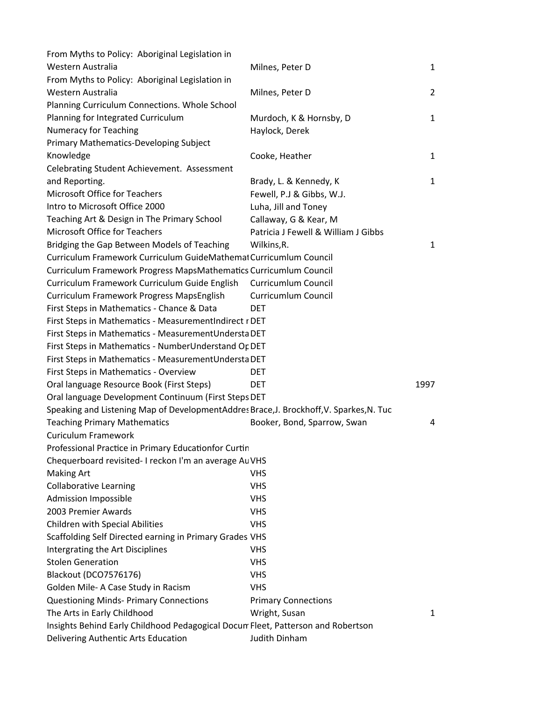| From Myths to Policy: Aboriginal Legislation in                                         |                                     |                |
|-----------------------------------------------------------------------------------------|-------------------------------------|----------------|
| Western Australia                                                                       | Milnes, Peter D                     | $\mathbf{1}$   |
| From Myths to Policy: Aboriginal Legislation in                                         |                                     |                |
| Western Australia                                                                       | Milnes, Peter D                     | $\overline{2}$ |
| Planning Curriculum Connections. Whole School                                           |                                     |                |
| Planning for Integrated Curriculum                                                      | Murdoch, K & Hornsby, D             | $\mathbf{1}$   |
| <b>Numeracy for Teaching</b>                                                            | Haylock, Derek                      |                |
| Primary Mathematics-Developing Subject                                                  |                                     |                |
| Knowledge                                                                               | Cooke, Heather                      | $\mathbf{1}$   |
| Celebrating Student Achievement. Assessment                                             |                                     |                |
| and Reporting.                                                                          | Brady, L. & Kennedy, K              | $\mathbf{1}$   |
| Microsoft Office for Teachers                                                           | Fewell, P.J & Gibbs, W.J.           |                |
| Intro to Microsoft Office 2000                                                          | Luha, Jill and Toney                |                |
| Teaching Art & Design in The Primary School                                             | Callaway, G & Kear, M               |                |
| Microsoft Office for Teachers                                                           | Patricia J Fewell & William J Gibbs |                |
| Bridging the Gap Between Models of Teaching                                             | Wilkins, R.                         | $\mathbf{1}$   |
| Curriculum Framework Curriculum GuideMathemat Curricumlum Council                       |                                     |                |
| Curriculum Framework Progress MapsMathematics Curricumlum Council                       |                                     |                |
| Curriculum Framework Curriculum Guide English                                           | Curricumlum Council                 |                |
| Curriculum Framework Progress MapsEnglish                                               | Curricumlum Council                 |                |
| First Steps in Mathematics - Chance & Data                                              | DET                                 |                |
| First Steps in Mathematics - MeasurementIndirect r DET                                  |                                     |                |
| First Steps in Mathematics - MeasurementUndersta DET                                    |                                     |                |
| First Steps in Mathematics - NumberUnderstand Or DET                                    |                                     |                |
| First Steps in Mathematics - MeasurementUndersta DET                                    |                                     |                |
| First Steps in Mathematics - Overview                                                   | <b>DET</b>                          |                |
| Oral language Resource Book (First Steps)                                               | <b>DET</b>                          | 1997           |
| Oral language Development Continuum (First Steps DET                                    |                                     |                |
| Speaking and Listening Map of DevelopmentAddres Brace, J. Brockhoff, V. Sparkes, N. Tuc |                                     |                |
| <b>Teaching Primary Mathematics</b>                                                     | Booker, Bond, Sparrow, Swan         | 4              |
| Curiculum Framework                                                                     |                                     |                |
| Professional Practice in Primary Educationfor Curtin                                    |                                     |                |
| Chequerboard revisited- I reckon I'm an average Au VHS                                  |                                     |                |
| <b>Making Art</b>                                                                       | <b>VHS</b>                          |                |
| <b>Collaborative Learning</b>                                                           | <b>VHS</b>                          |                |
| <b>Admission Impossible</b>                                                             | <b>VHS</b>                          |                |
| 2003 Premier Awards                                                                     | <b>VHS</b>                          |                |
| Children with Special Abilities                                                         | <b>VHS</b>                          |                |
| Scaffolding Self Directed earning in Primary Grades VHS                                 |                                     |                |
| Intergrating the Art Disciplines                                                        | <b>VHS</b>                          |                |
| <b>Stolen Generation</b>                                                                | <b>VHS</b>                          |                |
| Blackout (DCO7576176)                                                                   | <b>VHS</b>                          |                |
| Golden Mile- A Case Study in Racism                                                     | <b>VHS</b>                          |                |
| <b>Questioning Minds- Primary Connections</b>                                           | <b>Primary Connections</b>          |                |
| The Arts in Early Childhood                                                             | Wright, Susan                       | 1              |
| Insights Behind Early Childhood Pedagogical Docum Fleet, Patterson and Robertson        |                                     |                |
| Delivering Authentic Arts Education                                                     | Judith Dinham                       |                |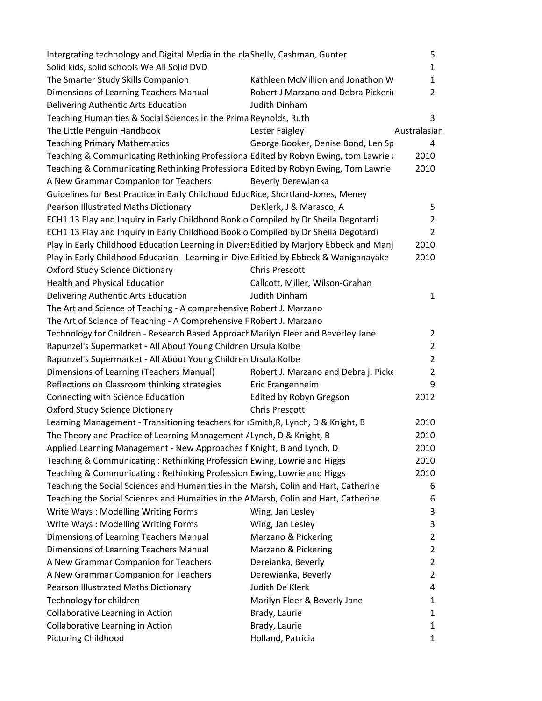| Intergrating technology and Digital Media in the cla Shelly, Cashman, Gunter            |                                      | 5              |
|-----------------------------------------------------------------------------------------|--------------------------------------|----------------|
| Solid kids, solid schools We All Solid DVD                                              |                                      | 1              |
| The Smarter Study Skills Companion                                                      | Kathleen McMillion and Jonathon W    | 1              |
| Dimensions of Learning Teachers Manual                                                  | Robert J Marzano and Debra Pickeri   | 2              |
| Delivering Authentic Arts Education                                                     | <b>Judith Dinham</b>                 |                |
| Teaching Humanities & Social Sciences in the Prima Reynolds, Ruth                       |                                      | 3              |
| The Little Penguin Handbook                                                             | Lester Faigley                       | Australasian   |
| <b>Teaching Primary Mathematics</b>                                                     | George Booker, Denise Bond, Len Sp   | 4              |
| Teaching & Communicating Rethinking Professiona Edited by Robyn Ewing, tom Lawrie       |                                      | 2010           |
| Teaching & Communicating Rethinking Professiona Edited by Robyn Ewing, Tom Lawrie       |                                      | 2010           |
| A New Grammar Companion for Teachers                                                    | <b>Beverly Derewianka</b>            |                |
| Guidelines for Best Practice in Early Childhood Educ Rice, Shortland-Jones, Meney       |                                      |                |
| Pearson Illustrated Maths Dictionary                                                    | DeKlerk, J & Marasco, A              | 5              |
| ECH1 13 Play and Inquiry in Early Childhood Book o Compiled by Dr Sheila Degotardi      |                                      | $\overline{2}$ |
| ECH1 13 Play and Inquiry in Early Childhood Book o Compiled by Dr Sheila Degotardi      |                                      | 2              |
| Play in Early Childhood Education Learning in Diver: Editied by Marjory Ebbeck and Manj |                                      | 2010           |
| Play in Early Childhood Education - Learning in Dive Editied by Ebbeck & Waniganayake   |                                      | 2010           |
| <b>Oxford Study Science Dictionary</b>                                                  | <b>Chris Prescott</b>                |                |
| <b>Health and Physical Education</b>                                                    | Callcott, Miller, Wilson-Grahan      |                |
| Delivering Authentic Arts Education                                                     | Judith Dinham                        | 1              |
| The Art and Science of Teaching - A comprehensive Robert J. Marzano                     |                                      |                |
| The Art of Science of Teaching - A Comprehensive F Robert J. Marzano                    |                                      |                |
| Technology for Children - Research Based Approacl Marilyn Fleer and Beverley Jane       |                                      | 2              |
| Rapunzel's Supermarket - All About Young Children Ursula Kolbe                          |                                      | $\overline{2}$ |
| Rapunzel's Supermarket - All About Young Children Ursula Kolbe                          |                                      | 2              |
| Dimensions of Learning (Teachers Manual)                                                | Robert J. Marzano and Debra j. Picke | $\overline{2}$ |
| Reflections on Classroom thinking strategies                                            | Eric Frangenheim                     | 9              |
| Connecting with Science Education                                                       | Edited by Robyn Gregson              | 2012           |
| <b>Oxford Study Science Dictionary</b>                                                  | <b>Chris Prescott</b>                |                |
| Learning Management - Transitioning teachers for ISmith, R, Lynch, D & Knight, B        |                                      | 2010           |
| The Theory and Practice of Learning Management / Lynch, D & Knight, B                   |                                      | 2010           |
| Applied Learning Management - New Approaches f Knight, B and Lynch, D                   |                                      | 2010           |
| Teaching & Communicating: Rethinking Profession Ewing, Lowrie and Higgs                 |                                      | 2010           |
| Teaching & Communicating: Rethinking Profession Ewing, Lowrie and Higgs                 |                                      | 2010           |
| Teaching the Social Sciences and Humanities in the Marsh, Colin and Hart, Catherine     |                                      | 6              |
| Teaching the Social Sciences and Humaities in the A Marsh, Colin and Hart, Catherine    |                                      | 6              |
| Write Ways: Modelling Writing Forms                                                     | Wing, Jan Lesley                     | 3              |
| Write Ways: Modelling Writing Forms                                                     | Wing, Jan Lesley                     | 3              |
| Dimensions of Learning Teachers Manual                                                  | Marzano & Pickering                  | 2              |
| Dimensions of Learning Teachers Manual                                                  | Marzano & Pickering                  | $\overline{2}$ |
| A New Grammar Companion for Teachers                                                    | Dereianka, Beverly                   | $\overline{2}$ |
| A New Grammar Companion for Teachers                                                    | Derewianka, Beverly                  | 2              |
| Pearson Illustrated Maths Dictionary                                                    | Judith De Klerk                      | 4              |
| Technology for children                                                                 | Marilyn Fleer & Beverly Jane         | 1              |
| Collaborative Learning in Action                                                        | Brady, Laurie                        | 1              |
| Collaborative Learning in Action                                                        | Brady, Laurie                        | 1              |
| <b>Picturing Childhood</b>                                                              | Holland, Patricia                    | 1              |
|                                                                                         |                                      |                |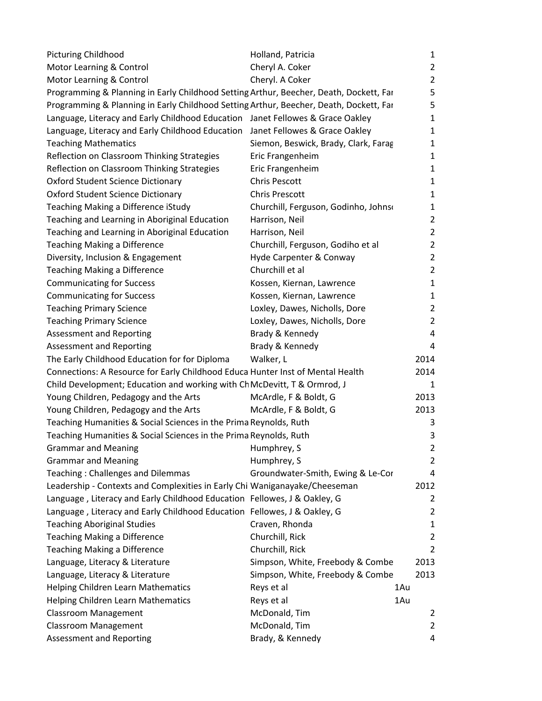| <b>Picturing Childhood</b>                                                             | Holland, Patricia                    | 1              |
|----------------------------------------------------------------------------------------|--------------------------------------|----------------|
| Motor Learning & Control                                                               | Cheryl A. Coker                      | $\mathbf{2}$   |
| Motor Learning & Control                                                               | Cheryl. A Coker                      | $\overline{2}$ |
| Programming & Planning in Early Childhood Setting Arthur, Beecher, Death, Dockett, Far |                                      | 5              |
| Programming & Planning in Early Childhood Setting Arthur, Beecher, Death, Dockett, Far |                                      | 5              |
| Language, Literacy and Early Childhood Education Janet Fellowes & Grace Oakley         |                                      | 1              |
| Language, Literacy and Early Childhood Education Janet Fellowes & Grace Oakley         |                                      | 1              |
| <b>Teaching Mathematics</b>                                                            | Siemon, Beswick, Brady, Clark, Farag | 1              |
| Reflection on Classroom Thinking Strategies                                            | Eric Frangenheim                     | 1              |
| Reflection on Classroom Thinking Strategies                                            | Eric Frangenheim                     | 1              |
| <b>Oxford Student Science Dictionary</b>                                               | <b>Chris Pescott</b>                 | 1              |
| <b>Oxford Student Science Dictionary</b>                                               | <b>Chris Prescott</b>                | 1              |
| Teaching Making a Difference iStudy                                                    | Churchill, Ferguson, Godinho, Johns  | 1              |
| Teaching and Learning in Aboriginal Education                                          | Harrison, Neil                       | $\overline{2}$ |
| Teaching and Learning in Aboriginal Education                                          | Harrison, Neil                       | $\overline{2}$ |
| <b>Teaching Making a Difference</b>                                                    | Churchill, Ferguson, Godiho et al    | 2              |
| Diversity, Inclusion & Engagement                                                      | Hyde Carpenter & Conway              | 2              |
| <b>Teaching Making a Difference</b>                                                    | Churchill et al                      | 2              |
| <b>Communicating for Success</b>                                                       | Kossen, Kiernan, Lawrence            | 1              |
| <b>Communicating for Success</b>                                                       | Kossen, Kiernan, Lawrence            | 1              |
| <b>Teaching Primary Science</b>                                                        | Loxley, Dawes, Nicholls, Dore        | 2              |
| <b>Teaching Primary Science</b>                                                        | Loxley, Dawes, Nicholls, Dore        | 2              |
| Assessment and Reporting                                                               | Brady & Kennedy                      | 4              |
| Assessment and Reporting                                                               | Brady & Kennedy                      | 4              |
| The Early Childhood Education for for Diploma                                          | Walker, L                            | 2014           |
| Connections: A Resource for Early Childhood Educa Hunter Inst of Mental Health         |                                      | 2014           |
| Child Development; Education and working with Ch McDevitt, T & Ormrod, J               |                                      | 1              |
| Young Children, Pedagogy and the Arts                                                  | McArdle, F & Boldt, G                | 2013           |
| Young Children, Pedagogy and the Arts                                                  | McArdle, F & Boldt, G                | 2013           |
| Teaching Humanities & Social Sciences in the Prima Reynolds, Ruth                      |                                      | 3              |
| Teaching Humanities & Social Sciences in the Prima Reynolds, Ruth                      |                                      | 3              |
| <b>Grammar and Meaning</b>                                                             | Humphrey, S                          | 2              |
| <b>Grammar and Meaning</b>                                                             | Humphrey, S                          | $\overline{2}$ |
| <b>Teaching: Challenges and Dilemmas</b>                                               | Groundwater-Smith, Ewing & Le-Cor    | 4              |
| Leadership - Contexts and Complexities in Early Chi Waniganayake/Cheeseman             |                                      | 2012           |
| Language, Literacy and Early Childhood Education Fellowes, J & Oakley, G               |                                      | 2              |
| Language, Literacy and Early Childhood Education Fellowes, J & Oakley, G               |                                      | $\overline{2}$ |
| <b>Teaching Aboriginal Studies</b>                                                     | Craven, Rhonda                       | 1              |
| <b>Teaching Making a Difference</b>                                                    | Churchill, Rick                      | 2              |
| <b>Teaching Making a Difference</b>                                                    | Churchill, Rick                      | $\overline{2}$ |
| Language, Literacy & Literature                                                        | Simpson, White, Freebody & Combe     | 2013           |
| Language, Literacy & Literature                                                        | Simpson, White, Freebody & Combe     | 2013           |
| Helping Children Learn Mathematics                                                     | Reys et al                           | 1Au            |
| Helping Children Learn Mathematics                                                     | Reys et al                           | 1Au            |
| <b>Classroom Management</b>                                                            | McDonald, Tim                        | 2              |
| <b>Classroom Management</b>                                                            | McDonald, Tim                        | $\overline{2}$ |
| <b>Assessment and Reporting</b>                                                        | Brady, & Kennedy                     | 4              |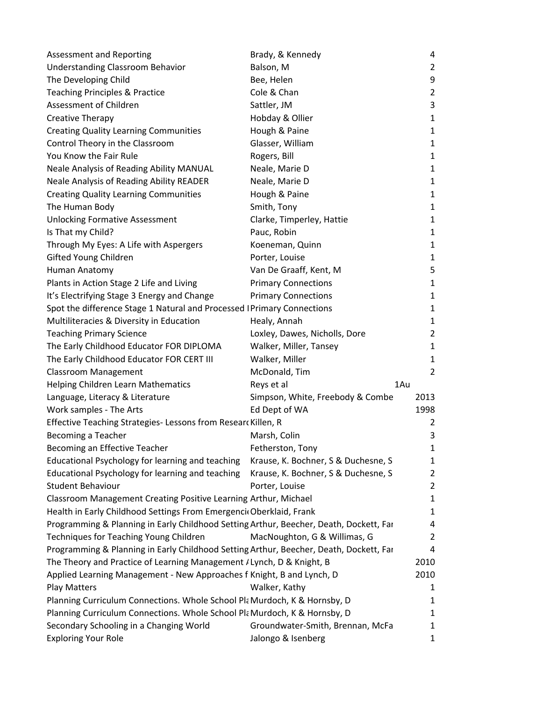| <b>Assessment and Reporting</b>                                                        | Brady, & Kennedy                    | 4              |
|----------------------------------------------------------------------------------------|-------------------------------------|----------------|
| <b>Understanding Classroom Behavior</b>                                                | Balson, M                           | 2              |
| The Developing Child                                                                   | Bee, Helen                          | 9              |
| <b>Teaching Principles &amp; Practice</b>                                              | Cole & Chan                         | 2              |
| Assessment of Children                                                                 | Sattler, JM                         | 3              |
| Creative Therapy                                                                       | Hobday & Ollier                     | $\mathbf{1}$   |
| <b>Creating Quality Learning Communities</b>                                           | Hough & Paine                       | 1              |
| Control Theory in the Classroom                                                        | Glasser, William                    | 1              |
| You Know the Fair Rule                                                                 | Rogers, Bill                        | 1              |
| Neale Analysis of Reading Ability MANUAL                                               | Neale, Marie D                      | 1              |
| Neale Analysis of Reading Ability READER                                               | Neale, Marie D                      | 1              |
| <b>Creating Quality Learning Communities</b>                                           | Hough & Paine                       | 1              |
| The Human Body                                                                         | Smith, Tony                         | 1              |
| <b>Unlocking Formative Assessment</b>                                                  | Clarke, Timperley, Hattie           | 1              |
| Is That my Child?                                                                      | Pauc, Robin                         | $\mathbf{1}$   |
| Through My Eyes: A Life with Aspergers                                                 | Koeneman, Quinn                     | 1              |
| Gifted Young Children                                                                  | Porter, Louise                      | 1              |
| Human Anatomy                                                                          | Van De Graaff, Kent, M              | 5              |
| Plants in Action Stage 2 Life and Living                                               | <b>Primary Connections</b>          | 1              |
| It's Electrifying Stage 3 Energy and Change                                            | <b>Primary Connections</b>          | 1              |
| Spot the difference Stage 1 Natural and Processed   Primary Connections                |                                     | 1              |
| Multiliteracies & Diversity in Education                                               | Healy, Annah                        | 1              |
| <b>Teaching Primary Science</b>                                                        | Loxley, Dawes, Nicholls, Dore       | $\overline{2}$ |
| The Early Childhood Educator FOR DIPLOMA                                               | Walker, Miller, Tansey              | $\mathbf{1}$   |
| The Early Childhood Educator FOR CERT III                                              | Walker, Miller                      | 1              |
| <b>Classroom Management</b>                                                            | McDonald, Tim                       | $\overline{2}$ |
| Helping Children Learn Mathematics                                                     | Reys et al<br>1Au                   |                |
| Language, Literacy & Literature                                                        | Simpson, White, Freebody & Combe    | 2013           |
| Work samples - The Arts                                                                | Ed Dept of WA                       | 1998           |
| Effective Teaching Strategies- Lessons from Resear Killen, R                           |                                     | 2              |
| Becoming a Teacher                                                                     | Marsh, Colin                        | 3              |
| Becoming an Effective Teacher                                                          | Fetherston, Tony                    | 1              |
| Educational Psychology for learning and teaching                                       | Krause, K. Bochner, S & Duchesne, S | 1              |
| Educational Psychology for learning and teaching                                       | Krause, K. Bochner, S & Duchesne, S | $\overline{2}$ |
| <b>Student Behaviour</b>                                                               | Porter, Louise                      | 2              |
| Classroom Management Creating Positive Learning Arthur, Michael                        |                                     | 1              |
| Health in Early Childhood Settings From Emergenci Oberklaid, Frank                     |                                     | 1              |
| Programming & Planning in Early Childhood Setting Arthur, Beecher, Death, Dockett, Far |                                     | 4              |
| Techniques for Teaching Young Children                                                 | MacNoughton, G & Willimas, G        | 2              |
| Programming & Planning in Early Childhood Setting Arthur, Beecher, Death, Dockett, Far |                                     | 4              |
| The Theory and Practice of Learning Management / Lynch, D & Knight, B                  |                                     | 2010           |
| Applied Learning Management - New Approaches f Knight, B and Lynch, D                  |                                     | 2010           |
| <b>Play Matters</b>                                                                    | Walker, Kathy                       | 1              |
| Planning Curriculum Connections. Whole School Pla Murdoch, K & Hornsby, D              |                                     | 1              |
| Planning Curriculum Connections. Whole School Pla Murdoch, K & Hornsby, D              |                                     | 1              |
| Secondary Schooling in a Changing World                                                | Groundwater-Smith, Brennan, McFa    | 1              |
| <b>Exploring Your Role</b>                                                             | Jalongo & Isenberg                  | 1              |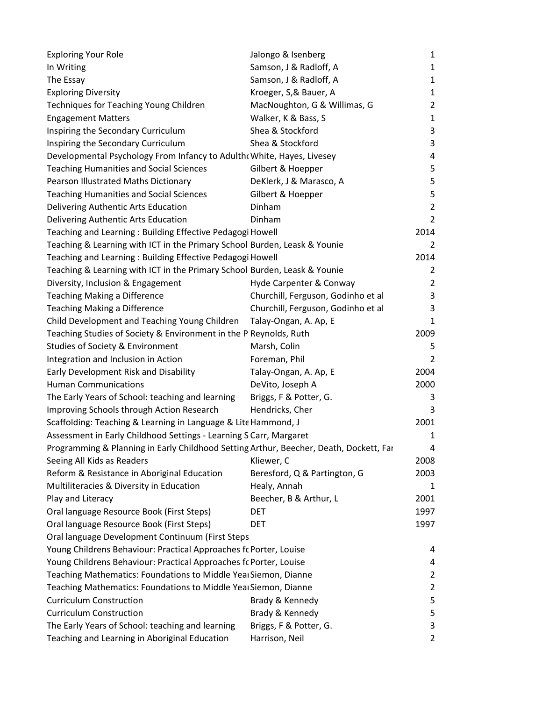| <b>Exploring Your Role</b>                                                             | Jalongo & Isenberg                 | $\mathbf{1}$   |
|----------------------------------------------------------------------------------------|------------------------------------|----------------|
| In Writing                                                                             | Samson, J & Radloff, A             | $\mathbf{1}$   |
| The Essay                                                                              | Samson, J & Radloff, A             | $\mathbf{1}$   |
| <b>Exploring Diversity</b>                                                             | Kroeger, S,& Bauer, A              | $\mathbf{1}$   |
| Techniques for Teaching Young Children                                                 | MacNoughton, G & Willimas, G       | $\overline{2}$ |
| <b>Engagement Matters</b>                                                              | Walker, K & Bass, S                | $\mathbf{1}$   |
| Inspiring the Secondary Curriculum                                                     | Shea & Stockford                   | 3              |
| Inspiring the Secondary Curriculum                                                     | Shea & Stockford                   | 3              |
| Developmental Psychology From Infancy to Adulth( White, Hayes, Livesey                 |                                    | 4              |
| <b>Teaching Humanities and Social Sciences</b>                                         | Gilbert & Hoepper                  | 5              |
| Pearson Illustrated Maths Dictionary                                                   | DeKlerk, J & Marasco, A            | 5              |
| <b>Teaching Humanities and Social Sciences</b>                                         | Gilbert & Hoepper                  | 5              |
| Delivering Authentic Arts Education                                                    | Dinham                             | $\overline{2}$ |
| Delivering Authentic Arts Education                                                    | Dinham                             | $\overline{2}$ |
| Teaching and Learning: Building Effective Pedagogi Howell                              |                                    | 2014           |
| Teaching & Learning with ICT in the Primary School Burden, Leask & Younie              |                                    | $\overline{2}$ |
| Teaching and Learning: Building Effective Pedagogi Howell                              |                                    | 2014           |
| Teaching & Learning with ICT in the Primary School Burden, Leask & Younie              |                                    | 2              |
| Diversity, Inclusion & Engagement                                                      | Hyde Carpenter & Conway            | $\overline{2}$ |
| Teaching Making a Difference                                                           | Churchill, Ferguson, Godinho et al | 3              |
| Teaching Making a Difference                                                           | Churchill, Ferguson, Godinho et al | 3              |
| Child Development and Teaching Young Children                                          | Talay-Ongan, A. Ap, E              | 1              |
| Teaching Studies of Society & Environment in the P Reynolds, Ruth                      |                                    | 2009           |
| Studies of Society & Environment                                                       | Marsh, Colin                       | 5              |
| Integration and Inclusion in Action                                                    | Foreman, Phil                      | 2              |
| Early Development Risk and Disability                                                  | Talay-Ongan, A. Ap, E              | 2004           |
| <b>Human Communications</b>                                                            | DeVito, Joseph A                   | 2000           |
| The Early Years of School: teaching and learning                                       | Briggs, F & Potter, G.             | 3              |
| Improving Schools through Action Research                                              | Hendricks, Cher                    | 3              |
| Scaffolding: Teaching & Learning in Language & Lite Hammond, J                         |                                    | 2001           |
| Assessment in Early Childhood Settings - Learning S Carr, Margaret                     |                                    | 1              |
| Programming & Planning in Early Childhood Setting Arthur, Beecher, Death, Dockett, Far |                                    | 4              |
| Seeing All Kids as Readers                                                             | Kliewer, C                         | 2008           |
| Reform & Resistance in Aboriginal Education                                            | Beresford, Q & Partington, G       | 2003           |
| Multiliteracies & Diversity in Education                                               | Healy, Annah                       | 1              |
| Play and Literacy                                                                      | Beecher, B & Arthur, L             | 2001           |
| Oral language Resource Book (First Steps)                                              | DET                                | 1997           |
| Oral language Resource Book (First Steps)                                              | <b>DET</b>                         | 1997           |
| Oral language Development Continuum (First Steps                                       |                                    |                |
| Young Childrens Behaviour: Practical Approaches fc Porter, Louise                      |                                    | 4              |
| Young Childrens Behaviour: Practical Approaches fc Porter, Louise                      |                                    | 4              |
| Teaching Mathematics: Foundations to Middle Yeal Siemon, Dianne                        |                                    | $\overline{2}$ |
| Teaching Mathematics: Foundations to Middle Yeal Siemon, Dianne                        |                                    | $\overline{2}$ |
| <b>Curriculum Construction</b>                                                         | Brady & Kennedy                    | 5              |
| <b>Curriculum Construction</b>                                                         | Brady & Kennedy                    | 5              |
| The Early Years of School: teaching and learning                                       | Briggs, F & Potter, G.             | 3              |
| Teaching and Learning in Aboriginal Education                                          | Harrison, Neil                     | $\overline{2}$ |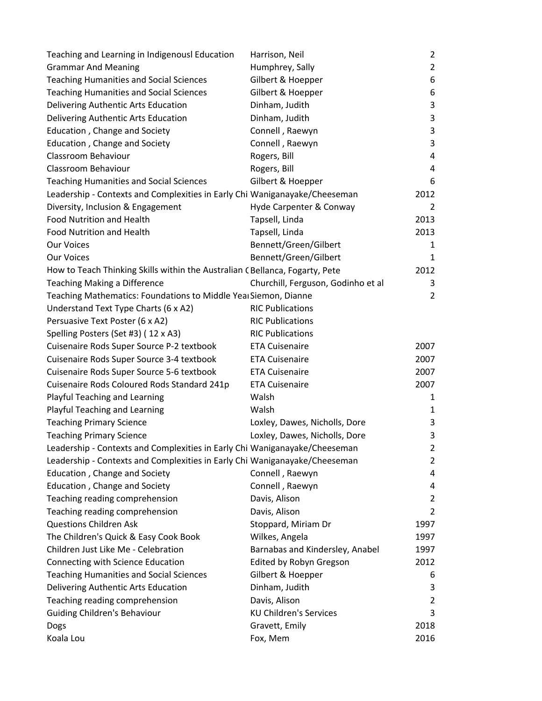| Teaching and Learning in Indigenousl Education                               | Harrison, Neil                     | $\overline{2}$ |
|------------------------------------------------------------------------------|------------------------------------|----------------|
| <b>Grammar And Meaning</b>                                                   | Humphrey, Sally                    | $\overline{2}$ |
| <b>Teaching Humanities and Social Sciences</b>                               | Gilbert & Hoepper                  | 6              |
| <b>Teaching Humanities and Social Sciences</b>                               | Gilbert & Hoepper                  | 6              |
| Delivering Authentic Arts Education                                          | Dinham, Judith                     | 3              |
| Delivering Authentic Arts Education                                          | Dinham, Judith                     | 3              |
| Education, Change and Society                                                | Connell, Raewyn                    | 3              |
| Education, Change and Society                                                | Connell, Raewyn                    | 3              |
| Classroom Behaviour                                                          | Rogers, Bill                       | 4              |
| Classroom Behaviour                                                          | Rogers, Bill                       | 4              |
| <b>Teaching Humanities and Social Sciences</b>                               | Gilbert & Hoepper                  | 6              |
| Leadership - Contexts and Complexities in Early Chi Waniganayake/Cheeseman   |                                    | 2012           |
| Diversity, Inclusion & Engagement                                            | Hyde Carpenter & Conway            | 2              |
| <b>Food Nutrition and Health</b>                                             | Tapsell, Linda                     | 2013           |
| Food Nutrition and Health                                                    | Tapsell, Linda                     | 2013           |
| <b>Our Voices</b>                                                            | Bennett/Green/Gilbert              | 1              |
| <b>Our Voices</b>                                                            | Bennett/Green/Gilbert              | 1              |
| How to Teach Thinking Skills within the Australian C Bellanca, Fogarty, Pete |                                    | 2012           |
| <b>Teaching Making a Difference</b>                                          | Churchill, Ferguson, Godinho et al | 3              |
| Teaching Mathematics: Foundations to Middle Yea Siemon, Dianne               |                                    | $\overline{2}$ |
| Understand Text Type Charts (6 x A2)                                         | <b>RIC Publications</b>            |                |
| Persuasive Text Poster (6 x A2)                                              | <b>RIC Publications</b>            |                |
| Spelling Posters (Set #3) (12 x A3)                                          | <b>RIC Publications</b>            |                |
| Cuisenaire Rods Super Source P-2 textbook                                    | <b>ETA Cuisenaire</b>              | 2007           |
| Cuisenaire Rods Super Source 3-4 textbook                                    | <b>ETA Cuisenaire</b>              | 2007           |
| Cuisenaire Rods Super Source 5-6 textbook                                    | <b>ETA Cuisenaire</b>              | 2007           |
| Cuisenaire Rods Coloured Rods Standard 241p                                  | <b>ETA Cuisenaire</b>              | 2007           |
| Playful Teaching and Learning                                                | Walsh                              | 1              |
| Playful Teaching and Learning                                                | Walsh                              | $\mathbf{1}$   |
| <b>Teaching Primary Science</b>                                              | Loxley, Dawes, Nicholls, Dore      | 3              |
| <b>Teaching Primary Science</b>                                              | Loxley, Dawes, Nicholls, Dore      | 3              |
| Leadership - Contexts and Complexities in Early Chi Waniganayake/Cheeseman   |                                    | 2              |
| Leadership - Contexts and Complexities in Early Chi Waniganayake/Cheeseman   |                                    | $\overline{2}$ |
| Education, Change and Society                                                | Connell, Raewyn                    | 4              |
| Education, Change and Society                                                | Connell, Raewyn                    | 4              |
| Teaching reading comprehension                                               | Davis, Alison                      | $\overline{2}$ |
| Teaching reading comprehension                                               | Davis, Alison                      | $\overline{2}$ |
| <b>Questions Children Ask</b>                                                | Stoppard, Miriam Dr                | 1997           |
| The Children's Quick & Easy Cook Book                                        | Wilkes, Angela                     | 1997           |
| Children Just Like Me - Celebration                                          | Barnabas and Kindersley, Anabel    | 1997           |
| Connecting with Science Education                                            | Edited by Robyn Gregson            | 2012           |
| <b>Teaching Humanities and Social Sciences</b>                               | Gilbert & Hoepper                  | 6              |
| Delivering Authentic Arts Education                                          | Dinham, Judith                     | 3              |
| Teaching reading comprehension                                               | Davis, Alison                      | $\overline{2}$ |
| <b>Guiding Children's Behaviour</b>                                          | <b>KU Children's Services</b>      | 3              |
| Dogs                                                                         | Gravett, Emily                     | 2018           |
| Koala Lou                                                                    | Fox, Mem                           | 2016           |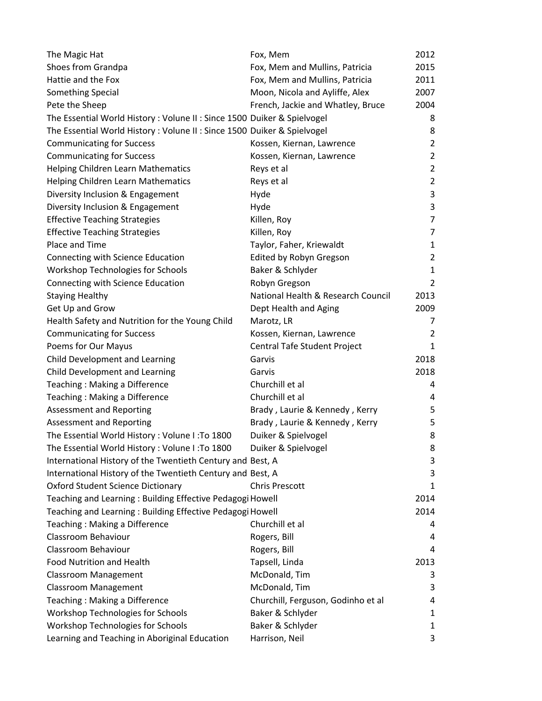| The Magic Hat                                                            | Fox, Mem                           | 2012           |
|--------------------------------------------------------------------------|------------------------------------|----------------|
| Shoes from Grandpa                                                       | Fox, Mem and Mullins, Patricia     | 2015           |
| Hattie and the Fox                                                       | Fox, Mem and Mullins, Patricia     | 2011           |
| Something Special                                                        | Moon, Nicola and Ayliffe, Alex     | 2007           |
| Pete the Sheep                                                           | French, Jackie and Whatley, Bruce  | 2004           |
| The Essential World History : Volune II : Since 1500 Duiker & Spielvogel |                                    | 8              |
| The Essential World History: Volune II: Since 1500 Duiker & Spielvogel   |                                    | 8              |
| <b>Communicating for Success</b>                                         | Kossen, Kiernan, Lawrence          | $\overline{2}$ |
| <b>Communicating for Success</b>                                         | Kossen, Kiernan, Lawrence          | $\overline{2}$ |
| Helping Children Learn Mathematics                                       | Reys et al                         | $\overline{2}$ |
| Helping Children Learn Mathematics                                       | Reys et al                         | $\overline{2}$ |
| Diversity Inclusion & Engagement                                         | Hyde                               | 3              |
| Diversity Inclusion & Engagement                                         | Hyde                               | 3              |
| <b>Effective Teaching Strategies</b>                                     | Killen, Roy                        | 7              |
| <b>Effective Teaching Strategies</b>                                     | Killen, Roy                        | 7              |
| Place and Time                                                           | Taylor, Faher, Kriewaldt           | $\mathbf{1}$   |
| Connecting with Science Education                                        | Edited by Robyn Gregson            | 2              |
| Workshop Technologies for Schools                                        | Baker & Schlyder                   | 1              |
| Connecting with Science Education                                        | Robyn Gregson                      | $\overline{2}$ |
| <b>Staying Healthy</b>                                                   | National Health & Research Council | 2013           |
| Get Up and Grow                                                          | Dept Health and Aging              | 2009           |
| Health Safety and Nutrition for the Young Child                          | Marotz, LR                         | 7              |
| <b>Communicating for Success</b>                                         | Kossen, Kiernan, Lawrence          | 2              |
| Poems for Our Mayus                                                      | Central Tafe Student Project       | $\mathbf{1}$   |
| Child Development and Learning                                           | Garvis                             | 2018           |
| Child Development and Learning                                           | Garvis                             | 2018           |
| Teaching: Making a Difference                                            | Churchill et al                    | 4              |
| Teaching: Making a Difference                                            | Churchill et al                    | 4              |
| <b>Assessment and Reporting</b>                                          | Brady, Laurie & Kennedy, Kerry     | 5              |
| Assessment and Reporting                                                 | Brady, Laurie & Kennedy, Kerry     | 5              |
| The Essential World History: Volune I: To 1800                           | Duiker & Spielvogel                | 8              |
| The Essential World History: Volune I: To 1800                           | Duiker & Spielvogel                | 8              |
| International History of the Twentieth Century and Best, A               |                                    | 3              |
| International History of the Twentieth Century and Best, A               |                                    | 3              |
| <b>Oxford Student Science Dictionary</b>                                 | <b>Chris Prescott</b>              | 1              |
| Teaching and Learning: Building Effective Pedagogi Howell                |                                    | 2014           |
| Teaching and Learning: Building Effective Pedagogi Howell                |                                    | 2014           |
| Teaching: Making a Difference                                            | Churchill et al                    | 4              |
| Classroom Behaviour                                                      | Rogers, Bill                       | 4              |
| Classroom Behaviour                                                      | Rogers, Bill                       | 4              |
| <b>Food Nutrition and Health</b>                                         | Tapsell, Linda                     | 2013           |
| Classroom Management                                                     | McDonald, Tim                      | 3              |
| <b>Classroom Management</b>                                              | McDonald, Tim                      | 3              |
| Teaching: Making a Difference                                            | Churchill, Ferguson, Godinho et al | 4              |
| Workshop Technologies for Schools                                        | Baker & Schlyder                   | 1              |
| Workshop Technologies for Schools                                        | Baker & Schlyder                   | 1              |
| Learning and Teaching in Aboriginal Education                            | Harrison, Neil                     | 3              |